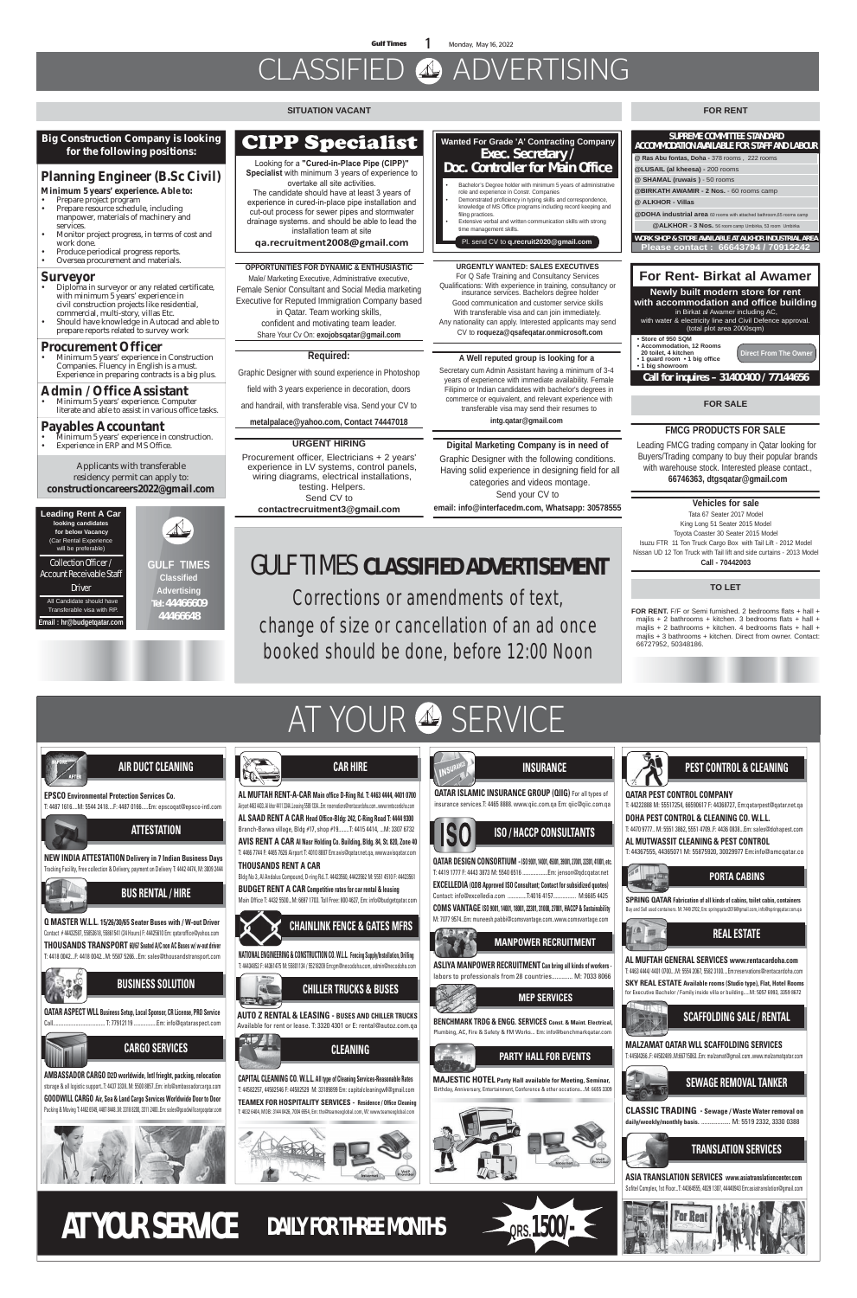**Gulf Times 1** Monday, May 16, 2022

## CLASSIFIED ADVERTISING

#### **URGENT HIRING**

Procurement officer, Electricians + 2 years' experience in LV systems, control panels, wiring diagrams, electrical installations, testing. Helpers. Send CV to **contactrecruitment3@gmail.com**

#### **SITUATION VACANT**

### **FOR SALE**

#### **TO LET**

#### **FOR RENT**

**FOR RENT.** F/F or Semi furnished. 2 bedrooms flats + hall + majlis + 2 bathrooms + kitchen. 3 bedrooms flats + hall + majlis + 2 bathrooms + kitchen. 4 bedrooms flats + hall + mailis + 3 bathrooms + kitchen. Direct from owner. Contact: 66727952, 50348186.



For Q Safe Training and Consultancy Services<br>Qualifications: With experience in training, consultancy or insurance services. Bachelors degree holder Good communication and customer service skills With transferable visa and can join immediately.

**Vehicles for sale** 

Tata 67 Seater 2017 Model King Long 51 Seater 2015 Model Toyota Coaster 30 Seater 2015 Model Isuzu FTR 11 Ton Truck Cargo Box with Tail Lift - 2012 Model Nissan UD 12 Ton Truck with Tail lift and side curtains - 2013 Model **Call - 70442003**

#### **FMCG PRODUCTS FOR SALE**

 Leading FMCG trading company in Qatar looking for Buyers/Trading company to buy their popular brands with warehouse stock. Interested please contact., **66746363, dtgsqatar@gmail.com**

#### **URGENTLY WANTED: SALES EXECUTIVES**

• Minimum 5 years' experience in construction. **Experience in ERP and MS Office.** 

Any nationality can apply. Interested applicants may send CV to **roqueza@qsafeqatar.onmicrosoft.com**

#### **A Well reputed group is looking for a**

Secretary cum Admin Assistant having a minimum of 3-4 years of experience with immediate availability. Female Filipino or Indian candidates with bachelor's degrees in commerce or equivalent, and relevant experience with transferable visa may send their resumes to **intg.qatar@gmail.com**

#### **Digital Marketing Company is in need of**

Graphic Designer with the following conditions. Having solid experience in designing field for all categories and videos montage. Send your CV to

**email: info@interfacedm.com, Whatsapp: 30578555**

**GULF TIMES Classified Advertising**

 $\triangle$ 

#### **Tel: 44466609 44466648**

### **CIPP Specialist**

Looking for a "Cured-in-Place Pipe (CIPP)" **Specialist** with minimum 3 years of experience to

The candidate should have at least 3 years of experience in cured-in-place pipe installation and cut-out process for sewer pipes and stormwater drainage systems. and should be able to lead the installation team at site overtake all site activities.

ga.recruitment2008@gmail.com

#### **Big Construction Company is looking for the following positions:**

### **Planning Engineer (B.Sc Civil)**

**Minimum 5 years' experience. Able to:**

- Prepare project program
- Prepare resource schedule, including manpower, materials of machinery and services.
- Monitor project progress, in terms of cost and work done.
- Produce periodical progress reports.
- Oversea procurement and materials.

#### **Surveyor**

- Diploma in surveyor or any related certificate, with minimum 5 years' experience in civil construction projects like residential, commercial, multi-story, villas Etc. • Should have knowledge in Autocad and able to prepare reports related to survey work
- **Procurement Officer**
- Minimum 5 years' experience in Construction Companies. Fluency in English is a must. Experience in preparing contracts is a big plus.

#### **Admin / Office Assistant**

• Minimum 5 years' experience. Computer literate and able to assist in various office tasks.

#### **Payables Accountant**

Applicants with transferable residency permit can apply to: **constructioncareers2022@gmail.com**

#### **OPPORTUNITIES FOR DYNAMIC & ENTHUSIASTIC**

Male/ Marketing Executive, Administrative executive, Female Senior Consultant and Social Media marketing Executive for Reputed Immigration Company based in Qatar. Team working skills, confident and motivating team leader.

Share Your Cv On: **exojobsqatar@gmail.com**

#### **Required:**

Graphic Designer with sound experience in Photoshop

field with 3 years experience in decoration, doors

and handrail, with transferable visa. Send your CV to

**metalpalace@yahoo.com, Contact 74447018**

#### **Wanted For Grade 'A' Contracting Company** Exec. Secretary / Doc. Controller for Main Office

- Bachelor's Degree holder with minimum 5 years of administrative role and experience in Constr. Companies • Demonstrated proficiency in typing skills and correspondence,
- knowledge of MS Office programs including record keeping and filing practices. • Extensive verbal and written communication skills with strong
- time management skills.

Pl. send CV to **q.recruit2020@gmail.com**

**Leading Rent A Car looking candidates for below Vacancy**  (Car Rental Experience will be preferable)

Collection Officer / Account Receivable Staff

Driver All Candidate should have Transferable visa with RP. **Email : hr@budgetqatar.com**

**ISO / HACCP CONSULTANTS**





**QATAR DESIGN CONSORTIUM -ISO 9001, 14001, 45001, 39001, 27001, 22301, 41001, etc.** T: 4419 1777 F: 4443 3873 M: 5540 6516 ...................Em: jenson@qdcqatar.net **EXCELLEDIA (QDB Approved ISO Consultant; Contact for subsidized quotes)** Contact: info@excelledia.com ..............T:4016 4157................. M:6685 4425 **COMS VANTAGE ISO 9001, 14001, 18001, 22301, 31000, 27001, HACCP & Sustainability** M: 7077 9574..Em: muneesh.pabbi@comsvantage.com..www.comsvantage.com





### **PARTY HALL FOR EVENTS**

**MAJESTIC HOTEL Party Hall available for Meeting, Seminar,** Birthday, Anniversary, Entertainment, Conference & other occations....M: 6655 3309







# AT YOUR & SERVICE

T: 44222888 M: 55517254, 66590617 F: 44368727, Em:qatarpest@qatar.net.qa

**DOHA PEST CONTROL & CLEANING CO. W.L.L.**  T: 4470 9777.. M: 5551 3862, 5551 4709..F: 4436 0838...Em: sales@dohapest.com

**AL MUTWASSIT CLEANING & PEST CONTROL** T: 44367555, 44365071 M: 55875920, 30029977 Em:info@amcqatar.co



**MEP SERVICES BENCHMARK TRDG & ENGG. SERVICES Const. & Maint. Electrical,** Plumbing, AC, Fire & Safety & FM Works... Em: info@benchmarkqatar.com **MANPOWER RECRUITMENT ASLIYA MANPOWER RECRUITMENT Can bring all kinds of workers**  labors to professionals from 28 countries............. M: 7033 8066 **SPRING QATAR Fabrication of all kinds of cabins, toilet cabin, containers**  Buy and Sell used containers. M: 7449 2702, Em: springqatar2016@gmail.com, info@springqatar.com.qa

**PORTA CABINS**



**MALZAMAT QATAR WLL SCAFFOLDING SERVICES** T: 44504266..F: 44502489..M:66715063..Em: malzamat@gmail.com..www.malzamatqatar.com



**ASIA TRANSLATION SERVICES www.asiatranslationcenter.com** Sofitel Complex, 1st Floor...T: 44364555, 4029 1307, 44440943 Em:asiatranslation@gmail.com





**CLASSIC TRADING - Sewage / Waste Water removal on daily/weekly/monthly basis.** .................. M: 5519 2332, 3330 0388

**AL MUFTAH GENERAL SERVICES www.rentacardoha.com** T: 4463 4444/ 4401 0700....M: 5554 2067, 5582 3100....Em:reservations@rentacardoha.com

### **REAL ESTATE**

**SKY REAL ESTATE Available rooms (Studio type), Flat, Hotel Rooms** for Executive Bachelor / Family inside villa or building.....M: 5057 6993, 3359 8672

### GULF TIMES **CLASSIFIED ADVERTISEMENT**

**Corrections or amendments of text, change of size or cancellation of an ad once booked should be done, before 12:00 Noon**

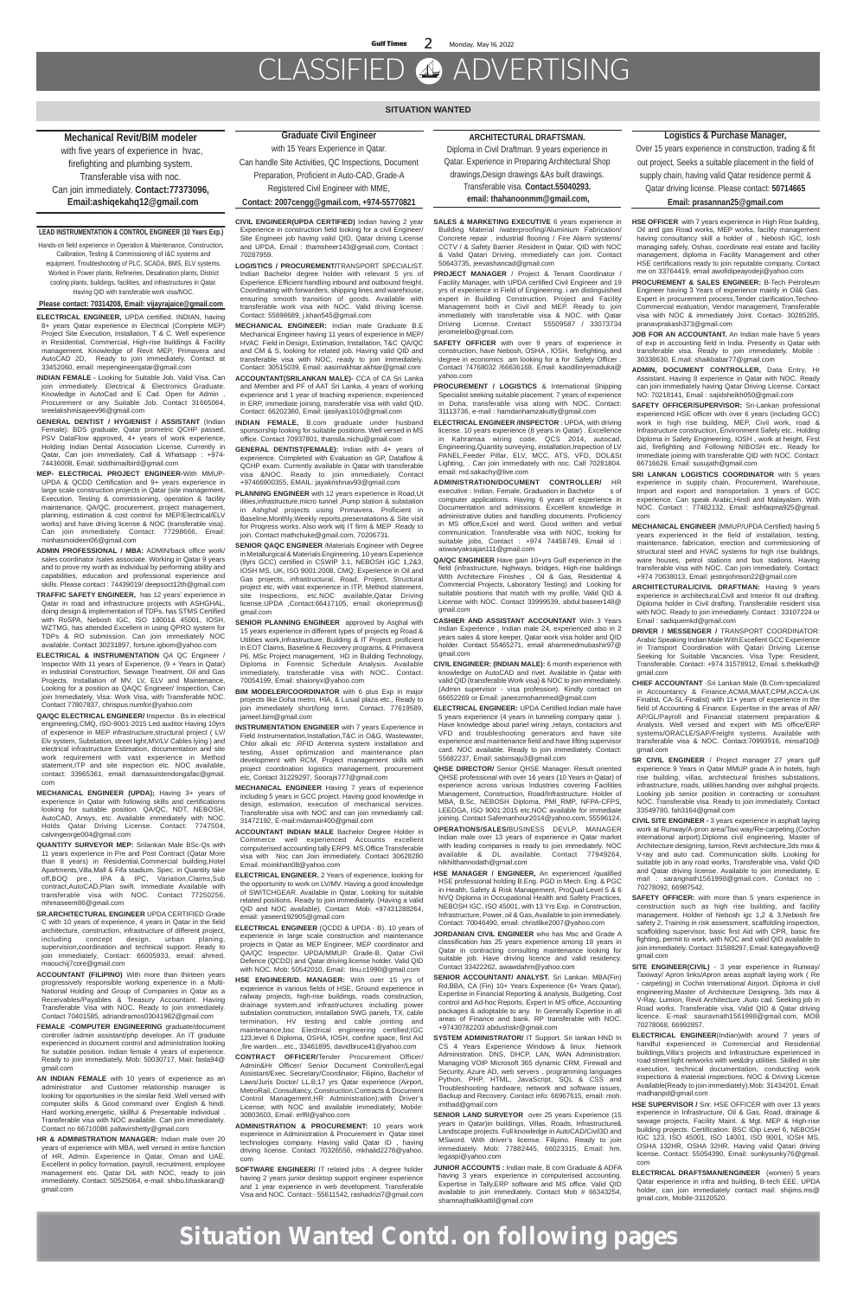### CLASSIFIED ADVERTISING

**Situation Wanted Contd. on following pages**

#### **SITUATION WANTED**

**ELECTRICAL ENGINEER,** UPDA certified. INDIAN, having 8+ years Qatar experience in Electrical (Complete MEP) Project Site Execution, Installation, T & C. Well experience in Residential, Commercial, High-rise buildings & Facility management. Knowledge of Revit MEP, Primavera and AutoCAD 2D, Ready to join immediately. Contact at 33452060, email: mepengineerqatar@gmail.com

**INDIAN FEMALE -** Looking for Suitable Job. Valid Visa, Can join immediately. Electrical & Electronics Graduate. Knowledge in AutoCad and E Cad. Open for Admin , Procurement or any Suitable Job. Contact 31665064, sreelakshmisajeev96@gmail.com

**GENERAL DENTIST / HYGIENIST / ASSISTANT** (Indian Female): BDS graduate, Qatar prometric QCHP passed, PSV DataFlow approved, 4+ years of work experience, Holding Indian Dental Association License, Currently in Qatar, Can join immediately. Call & Whatsapp : +974- 74436008, Email: siddhimailbird@gmail.com

**MEP- ELECTRICAL PROJECT ENGINEER-**With MMUP-UPDA & QCDD Certification and 9+ years experience in large scale construction projects in Qatar (site management, Execution, Testing & commissioning, operation & facility maintenance, QA/QC, procurement, project management, planning, estimation & cost control for MEP/Electrical/ELV works) and have driving license & NOC (transferable visa). Can join immediately. Contact: 77298666, Email: minhasmoideen06@gmail.com

**ADMIN PROFESSIONAL / MBA:** ADMIN/back office work/ sales coordinator /sales associate. Working in Qatar 9 years and to prove my worth as individual by performing ability and capabilities, education and professional experience and skills. Please contact : 74439019/ deepsoct12th@gmail.com

**TRAFFIC SAFETY ENGINEER,** has 12 years' experience in Qatar in road and infrastructure projects with ASHGHAL, doing design & implementation of TDPs, has STMS Certified with RoSPA, Nebosh IGC, ISO 18001& 45001, IOSH, WZTMG, has attended Excellent in using QPRO system for TDPs & RO submission. Can join immediately NOC available. Contact 30231897, fortune.igbom@yahoo.com

**ELECTRICAL & INSTRUMENTATION** QA QC Engineer / Inspector With 11 years of Experience, (9 + Years in Qatar) in industrial Construction, Sewage Treatment, Oil and Gas Projects. Installation of MV, LV, ELV and Maintenance, Looking for a position as QAQC Engineer/ Inspection, Can join Immediately, Visa: Work Visa, with Transferable NOC. Contact 77807837, chrispus.numfor@yahoo.com

**QA/QC ELECTRICAL ENGINEER/** Inspector . Bs in electrical engineering,CMQ, ISO-9001-2015 Led auditor Having 10yrs of experience in MEP infrastructure,structural project ( LV/ Elv system, Substation, street light,MV/LV Cables lying ) and electrical infrastructure Estimation, documentation and site work requirement with vast experience in Method statement,ITP and site inspection etc. NOC available, contact: 33965361, email: damasuistendongafac@gmail. com

**MECHANICAL ENGINEER (UPDA);** Having 3+ years of experience in Qatar with following skills and certifications looking for suitable position. QA/QC, NDT, NEBOSH, AutoCAD, Ansys, etc. Available immediately with NOC. Holds Qatar Driving License. Contact: 7747504, calvingeorge004@gmail.com

**QUANTITY SURVEYOR MEP:** Srilankan Male BSc-Qs with 11 years experience in Pre and Post Contract (Qatar More than 8 years) in Residential,Commercial building,Hotel Apartments,Villa,Mall & Fifa stadium. Spec. in Quantity take off,BOQ pre., IPA & IPC, Variation,Claims,Sub contract,AutoCAD,Plan swift. Immediate Available with transferable visa with NOC. Contact 77250256, mhmaseem86@gmail.com

**SR.ARCHITECTURAL ENGINEER** UPDA CERTIFIED Grade C with 10 years of experience, 4 years in Qatar in the field architecture, construction, infrastructure of different project, including concept design, urban planing, concept design, urban planing, supervision,coordination and technical support. Ready to join immediately, Contact: 66005933, email: ahmed. maouchij7core@gmail.com

**ACCOUNTANT (FILIPINO)** With more than thirteen years progressively responsible working experience in a Multi-National Holding and Group of Companies in Qatar as a Receivables/Payables & Treasury Accountant. Having Transferable Visa with NOC. Ready to join immediately. Contact 70401585, adriandramos03041982@gmail.com

**SENIOR PLANNING ENGINEER** approved by Asghal with 15 years experience in different types of projects eg Road & Utilities work,Infrastructure, Building & IT Project. proficient in EOT Claims, Baseline & Recovery programs, & Primavera P6. MSc Project management, HD in Building Technology, Diploma in Forensic Schedule Analysis. Available immediately, transferable visa with NOC.. Contact: 70054199, Email: shaionyx@yahoo.com

**FEMALE -COMPUTER ENGINEERING** graduate/document controller /admin assistant/php developer. An IT graduate experienced in document control and administration looking for suitable position. Indian female 4 years of experience. Ready to join immediately. Mob: 50030717, Mail: fasla94@ gmail.com

**BIM MODELER/COORDINATOR** with 6 plus Exp in major projects like Doha metro, HIA, & Lusail plaza etc., Ready to join immediately short/long term. Contact. 77619589, jameel.bim@gmail.com

**AN INDIAN FEMALE** with 10 years of experience as an administrator and Customer relationship manager is looking for opportunities in the similar field .Well versed with computer skills & Good command over English & hindi. Hard working,energetic, skillful & Presentable individual . Transferable visa with NOC available. Can join immediately. Contact no 66710086 pallavirshetty@gmail.com

**ELECTRICAL ENGINEER** (QCDD & UPDA - B). 10 years of experience in large scale construction and maintenance projects in Qatar as MEP Engineer, MEP coordinator and QA/QC Inspector. UPDA/MMUP. Grade-B, Qatar Civil Defence (QCDD) and Qatar driving license holder. Valid QID with NOC. Mob: 50542010, Email: tinu.c1990@gmail.com

**HR & ADMINISTRATION MANAGER:** Indian male over 20 years of experience with MBA, well versed in entire function of HR, Admin. Experience in Qatar, Oman and UAE. Excellent in policy formation, payroll, recruitment, employee management etc. Qatar D/L with NOC, ready to join immediately. Contact: 50525064, e-mail: shibu.bhaskaran@ gmail.com

#### **Mechanical Revit/BIM modeler**

 with five years of experience in hvac, firefighting and plumbing system. Transferable visa with noc. Can join immediately. **Contact:77373096, Email:ashiqekahq12@gmail.com**

#### **LEAD INSTRUMENTATION & CONTROL ENGINEER (10 Years Exp.)**

Hands-on field experience in Operation & Maintenance, Construction, Calibration, Testing & Commissioning of I&C systems and equipment. Troubleshooting of PLC, SCADA, BMS, ELV systems. Worked in Power plants, Refineries, Desalination plants, District cooling plants, buildings, facilities, and infrastructures in Qatar. Having QID with transferable work visa/NOC.

#### **Please contact: 70314208, Email: vijayrajaice@gmail.com**

**SALES & MARKETING EXECUTIVE** 6 years experience in Building Material /waterproofing/Aluminium Fabrication/ Concrete repair , industrial flooring / Fire Alarm systems/ CCTV / & Safety Barrier .Resident in Qatar, QID with NOC & Valid Qatari Driving, immediately can join. Contact 50643735, jeevashancad@gmail.com

**CIVIL ENGINEER(UPDA CERTIFIED)** Indian having 2 year Experience in construction field looking for a civil Engineer/ Site Engineer job having valid QID, Qatar driving License and UPDA. Email : thamsheer143@gmail.com, Contact : 70287959.

**LOGISTICS / PROCUREMENT/**TRANSPORT SPECIALIST. Indian Bachelor degree holder with relevant 5 yrs of Experience. Efficient handling inbound and outbound freight. Coordinating with forwarders, shipping lines and warehouse, ensuring smooth transition of goods. Available with transferable work visa with NOC. Valid driving license. Contact: 55898689, j.khan545@gmail.com

**MECHANICAL ENGINEER:** Indian male Graduate B.E Mechanical Engineer having 11 years of experience in MEP/ HVAC, Field in Design, Estimation, Installation, T&C, OA/OC and CM & S, looking for related job. Having valid QID and transferable visa with NOC, ready to join immediately. Contact: 30515039, Email: aasimakhtar.akhtar@gmail.com

**ACCOUNTANT(SRILANKAN MALE)-** CCA of CA Sri Lanka and Member and PF of AAT Sri Lanka, 4 years of working experience and 1 year of teaching experience, experienced in ERP, immediate joining, transferable visa with valid QID. Contact: 66202360, Email: ijasilyas1010@gmail.com

**INDIAN FEMALE,** B.com graduate under husband sponsorship looking for suitable positions. Well versed in MS office. Contact 70937801, thansila.nichu@gmail.com

**GENERAL DENTIST(FEMALE):** Indian with 4+ years of experience. Completed with Evaluation as GP, Dataflow & QCHP exam. Currently available in Qatar with transferable visa &NOC. Ready to join immediately. Contact +97466900355, EMAIL: jayakrishnav93@gmail.com

**PLANNING ENGINEER** with 12 years experience in Road,Ut ilities,infrastructure,micro tunnel ,Pump station & substation in Ashghal projects using Primavera. Proficient in Baseline,Monthly,Weekly reports,presenatations & Site visit for Progress works. Also work witj IT firm & MEP .Ready to join. Contact mathchuke@gmail.com, 70206731.

**SENIOR QAQC ENGINEER** /Materials Engineer with Degree in Metallurgical & Materials Engineering, 10 years Experience (8yrs GCC) certified in CSWIP 3.1, NEBOSH IGC 1,2&3, IOSH MS, UK, ISO 9001:2008, CMQ; Experience in Oil and Gas projects, infrastructural, Road, Project, Structural project etc, with vast experience in ITP, Method statement, site Inspections, etc.NOC available,Qatar Driving license,UPDA ,Contact:66417105, email: okorieprimus@ gmail.com

> **SENIOR LAND SURVEYOR** over 25 years Experience (15 years in Qatar)in buildings, Villas, Roads, Infrastructure& Landscape projects. Full knowledge in AutoCAD/Civil3D and MSword. With driver's license. Filipino. Ready to join immediately. Mob: 77882445, 66023315, Email: hm. legaspi@yahoo.com

**INSTRUMENTATION ENGINEER** with 7 years Experience in Field Instrumentation,Installation,T&C in O&G, Wastewater, Chlor alkali etc .RFID Antenna system installation and testing, Asset optimization and maintenance plan development with RCM, Project management skills with project coordination logistics management, procurement **JOB FOR AN ACCOUNTANT.** An Indian male have 5 years of exp in accounting field in India. Presently in Qatar with transferable visa. Ready to join immediately. Mobile : 30338630, E.mail: shaikbabar77@gmail.com

etc, Contact 31229297, Soorajs777@gmail.com

**MECHANICAL ENGINEER** Having 7 years of experience including 5 years in GCC project. Having good knowledge in design, estimation, execution of mechanical services. Transferable visa with NOC and can join immediately call: 31472192, E-mail:mdamair400@gmail.com

**SAFETY OFFICER/SUPERVISOR:** Sri-Lankan professional experienced HSE officer with over 6 years (including GCC) work in high rise building, MEP, Civil work, road & Infrastructure construction, Environment Safety etc.. Holding Diploma in Safety Engineering, IOSH , work at height, First aid, firefighting and Following NIBOSH etc.. Ready for Immediate joining with transferable QID with NOC. Contact: 66716628. Email: susujath@gmail.com

**SRI LANKAN LOGISTICS COORDINATOR** with 5 years experience in supply chain, Procurement, Warehouse, Import and export and transportation. 3 years of GCC experience. Can speak Arabic,Hindi and Malayalam. With NOC. Contact : 77482132, Email: ashfaqma925@gmail. com

**ACCOUNTANT INDIAN MALE** Bachelor Degree Holder in Commerce well experienced Accounts excellent computerised accounting tally ERP9. MS.Office Transferable visa with Noc can Join immediately. Contact 30628280 Email. moinkhan08@yahoo.com

**ELECTRICAL ENGINEER.** 2 Years of experience, looking for the opportunity to work on LV/MV. Having a good knowledge of SWITCHGEAR. Available in Qatar, Looking for suitable related positions. Ready to join immediately. (Having a valid QID and NOC available). Contact Mob: +97431288264, email: yaseen192905@gmail.com

**HSE ENGINEER/D. MANAGER:** With over 15 yrs of experience in various fields of HSE, Ground experience in railway projects, high-rise buildings, roads construction, drainage system,and infrastructures including power substation construction, installation SWG panels, TX, cable termination, HV testing and cable jointing and maintenance,bsc Electrical engineering certified;IGC 123,level 6 Diploma, OSHA, IOSH, confine space, first Aid ,fire warden....etc., 33461895, davidbruce41@yahoo.com

**CONTRACT OFFICER/**Tender Procurement Officer/ Admin&Hr Officer/ Senior Document Controller/Legal Assistant/Exec. Secretary/Coordinator; Filipino, Bachelor of Laws/Juris Doctor/ LL.B;17 yrs Qatar experience (Airport, MetroRail, Consultancy, Construction,Contracts & Document Control Management,HR Administration);with Driver's License; with NOC and available immediately; Mobile: 30803603, Email: erlfil@yahoo.com

**ADMINISTRATION & PROCUREMENT:** 10 years work experience in Administration & Procurement in Qatar steel technologies company. Having valid Qatar ID , having driving license. Contact 70326556, mkhalid2278@yahoo. com

**SOFTWARE ENGINEER/** IT related jobs : A degree holder having 2 years junior desktop support engineer experience and 1 year experience in web development. Transferable Visa and NOC. Contact:- 55611542, rashadrizi7@gmail.com **PROJECT MANAGER** / Project & Tenant Coordinator / Facility Manager, with UPDA certified Civil Engineer and 19 yrs of experience in Field of Engineering. i am distinguished expert in Building Construction, Project and Facility Management both in Civil and MEP. Ready to join immediately with transferable visa & NOC. with Qatar Driving License. Contact 55509587 / 33073734 jeromelelbo@gmail.com.

**SAFETY OFFICER** with over 9 years of experience in construction, have Nebosh, OSHA , lOSH, firefighting, and degree in economics am looking for a for Safety Officer . Contact 74768032 /66636168, Email: kaodilinyemaduka@ yahoo.com

**PROCUREMENT / LOGISTICS** & International Shipping Specialist seeking suitable placement. 7 years of experience in Doha, transferable visa along with NOC. Contact: 31113736, e-mail : hamdanhamzakutty@gmail.com

**ELECTRICAL ENGINEER /INSPECTOR** : UPDA, with driving license. 10 years experience (8 years in Qatar) . Excellence in Kahramaa wiring code, QCS 2014, autocad, Engineering,Quantity surveying, installation,Inspection of LV PANEL,Feeder Pillar, ELV, MCC, ATS, VFD, DOL&St Lighting, . Can join immediately with noc. Call 70281804. email: md.sakachy@live.com

**ADMINISTRATION/DOCUMENT CONTROLLER/** HR executive : Indian, Female, Graduation in Bachelor s of computer applications. Having 6 years of experience in Documentation and admissions. Excellent knowledge in administrative duties and handling documents. Proficiency in MS office,Excel and word. Good written and verbal communication. Transferable visa with NOC, looking for suitable jobs, Contact : +974 74458749, Email id : aiswaryaksajan111@gmail.com

**QA/QC ENGINEER** Have gain 10+yrs Gulf experience in the field (infrastructure, highways, bridges, High-rise buildings WIth Architecture Finishes , Oil & Gas, Residential & Commercial Projects, Laboratory Testing) and Looking for suitable positions that match with my profile, Valid QID & License with NOC. Contact 33999539, abdul.baseer148@ gmail.com

**CASHIER AND ASSISTANT ACCOUNTANT** With 3 Years Indian Experience , Indian male 24, experienced also in 2 years sales & store keeper, Qatar work visa holder and QID holder. Contact 55465271, email ahammedmubashir97@ gmail.com

**CIVIL ENGINEER: (INDIAN MALE):** 6 month experience with knowledge on AutoCAD and rivet. Available in Qatar with valid QID (transferable Work visa) & NOC to join immediately. (Admin supervisor - visa profession). Kindly contact on 66652269 or Email: janeezmohammed@gmail.com

**ELECTRICAL ENGINEER:** UPDA Certified.Indian male have 5 years experience (4 years in tunneling company qatar ). Have knowledge about panel wiring ,relays, contactors and VFD and troubleshooting generators and have site experience and maintenance field and have lifting supervisor card. NOC available. Ready to join immediately. Contact: 55682237, Email: sabinsaju3@gmail.com

**QHSE DIRECTOR/** Senior QHSE Manager. Result oriented

QHSE professional with over 16 years (10 Years in Qatar) of experience across various Industries covering Facilities Management, Construction, Road/Infrastructure. Holder of MBA, B.Sc, NEBOSH Diploma, PMI\_RMP, NFPA-CFPS, LEEDGA, ISO 9001:2015 etc.NOC available for immediate joining. Contact Safemanhour2014@yahoo.com, 55596124.

**OPERATIONS/SALES/**BUSINESS DEVLP. MANAGER Indian male over 13 years of experience in Qatar market with leading companies is ready to join immediately. NOC available & DL available. Contact 77949264, nikhilthannodath@gmail.com

**HSE MANAGER / ENGINEER,** An experienced /qualified HSE professional holding B.Eng. PGD in Mech. Eng. & PGC in Health, Safety & Risk Management, ProQual Level 5 & 6 NVQ Diploma in Occupational Health and Safety Practices, NEBOSH IGC, ISO 45001, with 13 Yrs Exp. in Construction, Infrastructure, Power, oil & Gas, Available to join immediately. Contact: 70046490, email: christlike2007@yahoo.com

**JORDANIAN CIVIL ENGINEER** who has Msc and Grade A classification has 25 years experience among 18 years in Qatar in contracting consulting maintenance looking for suitable job. Have driving licence and valid residency. Contact 33422262, awawdahm@yahoo.com

**SENIOR ACCOUNTANT/ ANALYST.** Sri Lankan. MBA(Fin) Rd,BBA, CA (Fin) 10+ Years Experience (6+ Years Qatar), Expertise in Financial Reporting & analysis, Budgeting, Cost control and Ad-hoc Reports, Expert in MS office, Accounting packages & adoptable to any. In Generally Expertise in all areas of Finance and bank. RP transferable with NOC. +97430782203 abdushskr@gmail.com

**SYSTEM ADMINISTRATOR/** IT Support. Sri lankan HND In CS 4 Years Experience Windows & linux Network Administration. DNS, DHCP, LAN, WAN Administration. Managing VOIP Microsoft 365 dynamic CRM, Firewall and Security, Azure AD, web servers , programming languages Python, PHP, HTML, JavaScript, SQL & CSS and Troubleshooting hardware, network and software issues, Backup and Recovery. Contact info: 66967615, email: moh. imthad@gmail.com

**JUNIOR ACCOUNTS :** Indian male, B com Graduate & ADFA having 3 years experience in computerised accounting. Expertise in Tally,ERP software and MS office. Valid QID available to join immediately. Contact Mob # 66343254, shamnajthalikkattil@gmail.com

**HSE OFFICER** with 7 years experience in High Rise building, Oil and gas Road works, MEP works, facility management having consultancy skill a holder of , Nebosh IGC, Iosh managing safely, Oshas, coordinate real estate and facility management, diploma in Facility Management and other HSE certifications ready to join reputable company. Contact me on 33764419, email awofidipeayodeji@yahoo.com

**PROCUREMENT & SALES ENGINEER:** B-Tech Petroleum Engineer having 3 Years of experience mainly in Oil& Gas. Expert in procurement process,Tender clarification,Techno-Commercial evaluation, Vendor management, Transferable visa with NOC & immediately Joint. Contact- 30285285, pranavprakash373@gmail.com

**ADMIN, DOCUMENT CONTROLLER,** Data Entry, Hr Assistant. Having 8 experience in Qatar with NOC. Ready can join immediately having Qatar Driving License. Contact NO: 70218141, Email : sajidsheikh050@gmail.com

**MECHANICAL ENGINEER** (MMUP/UPDA Certified) having 5 years experienced in the field of installation, testing, maintenance, fabrication, erection and commissioning of structural steel and HVAC systems for high rise buildings, ware houses, petrol stations and bus stations. Having transferable visa with NOC. Can join immediately. Contact: +974 70638013, Email: jestinjohnson22@gmail.com

**ARCHITECTURAL/CIVIL DRAFTMAN:** Having 9 years experience in architectural,Civil and Interior fit out drafting. Diploma holder in Civil drafting. Transferable resident visa with NOC. Ready to join immediately. Contact : 33107224 or Email : sadiquemkd@gmail.com

**DRIVER / MESSENGER /** TRANSPORT COORDINATOR: Arabic Speaking Indian Male With Excellent GCC Experience in Transport Coordination with Qatari Driving License Seeking for Suitable Vacancies. Visa Type: Resident, Transferable. Contact: +974 31578912, Email. s.thekkath@ gmail.com

**CHIEF ACCOUNTANT** -Sri Lankan Male (B.Com-specialized in Accountancy & Finance,ACMA,MAAT,CPM,ACCA-UK Finalist, CA-SL-Finalist) with 11+ years of experience in the field of Accounting & Finance. Expertise in the areas of AR/ AP/GL/Payroll and Financial statement preparation & Analysis. Well versed and expert with MS office/ERP systems/ORACLE/SAP/Freight systems. Available with transferable visa & NOC. Contact:70993916, minsaf10@ gmail.com

**SR CIVIL ENGINEER** / Project manager 27 years gulf experience 9 Years in Qatar MMUP grade A in hotels, high rise building, villas, architectural finishes substations, infrastructure, roads, utilities،handing over ashghal projects. Looking job senior position in contracting or consultant NOC. Transferable visa. Ready to join immediately. Contact 33549780, fah3164@gmail.com

**CIVIL SITE ENGINEER -** 3 years experience in asphalt laying work at Runway/A-pron area/Taxi way/Re-carpeting.(Cochin international airport).Diploma civil engineering, Master of Architecture designing, lumion, Revit architecture,3ds max & V-ray and auto cad. Communication skills. Looking for suitable job in any road works, Transferable visa, Valid QID and Qatar driving license. Available to join immediately. E mail : sarangnath1561998@gmail.com, Contact no : 70278092, 66987542.

**SAFETY OFFICER:** with more than 5 years experience in construction such as high rise building, and facility management. Holder of Nebosh igc 1,2 & 3,Nebosh fire safety 2, Training in risk assessment, scaffolding inspection, scaffolding supervisor, basic first Aid with CPR, basic fire fighting, permit to work, with NOC and valid QID available to join immediately. Contact: 31588297, Email: kategayaflove@ gmail.com

**SITE ENGINEER(CIVIL)** - 3 year experience in Runway/ Taxiway/ Apron links/Apron areas asphalt laying work ( Re - carpeting) in Cochin International Airport. Diploma in civil engineering,Master of Architecture Designing, 3ds max & V-Ray, Lumion, Revit Architecture ,Auto cad. Seeking job in Road works. Transferable visa, Valid QID & Qatar driving licence. E-mail: sauravnath1561998@gmail.com, MOB 70278068, 66992857.

**ELECTRICAL ENGINEER**(Indian)with around 7 years of handful experienced in Commercial and Residential buildings,Villa's projects and Infrastructure experienced in road street light networks with wet&dry utilities. Skilled in site execution, technical documentation, conducting work inspections & material inspections. NOC & Driving License Available(Ready to join immediately).Mob: 31434201, Email: madhanpd@gmail.com

**HSE SUPERVISOR /** Snr. HSE OFFICER with over 13 years experience in Infrastructure, Oil & Gas, Road, drainage & sewage projects, Facility Maint. & Mgt. MEP & High-rise building projects. Certification: BSC IDip Level 6, NEBOSH IGC 123, ISO 45001, ISO 14001, ISO 9001, IOSH MS, OSHA 132HR, OSHA 32HR. Having valid Qatari driving license. Contact: 55054390, Email: sunkysunky76@gmail. com

**ELECTRICAL DRAFTSMAN/ENGINEER** (women) 5 years Qatar experience in infra and building, B-tech EEE, UPDA holder, can join immediately contact mail: shijims.ms@ gmail.com, Mobile-31120520.

**Graduate Civil Engineer**  with 15 Years Experience in Qatar.

Can handle Site Activities, QC Inspections, Document

Preparation, Proficient in Auto-CAD, Grade-A Registered Civil Engineer with MME,

**Contact: 2007cengg@gmail.com, +974-55770821**

#### **Logistics & Purchase Manager,**

Over 15 years experience in construction, trading & fit out project, Seeks a suitable placement in the field of supply chain, having valid Qatar residence permit & Qatar driving license. Please contact: **50714665** 

**Email: prasannan25@gmail.com**

**ARCHITECTURAL DRAFTSMAN.** Diploma in Civil Draftman. 9 years experience in Qatar. Experience in Preparing Architectural Shop drawings,Design drawings &As built drawings. Transferable visa. **Contact.55040293. email: thahanoonmm@gmail.com,**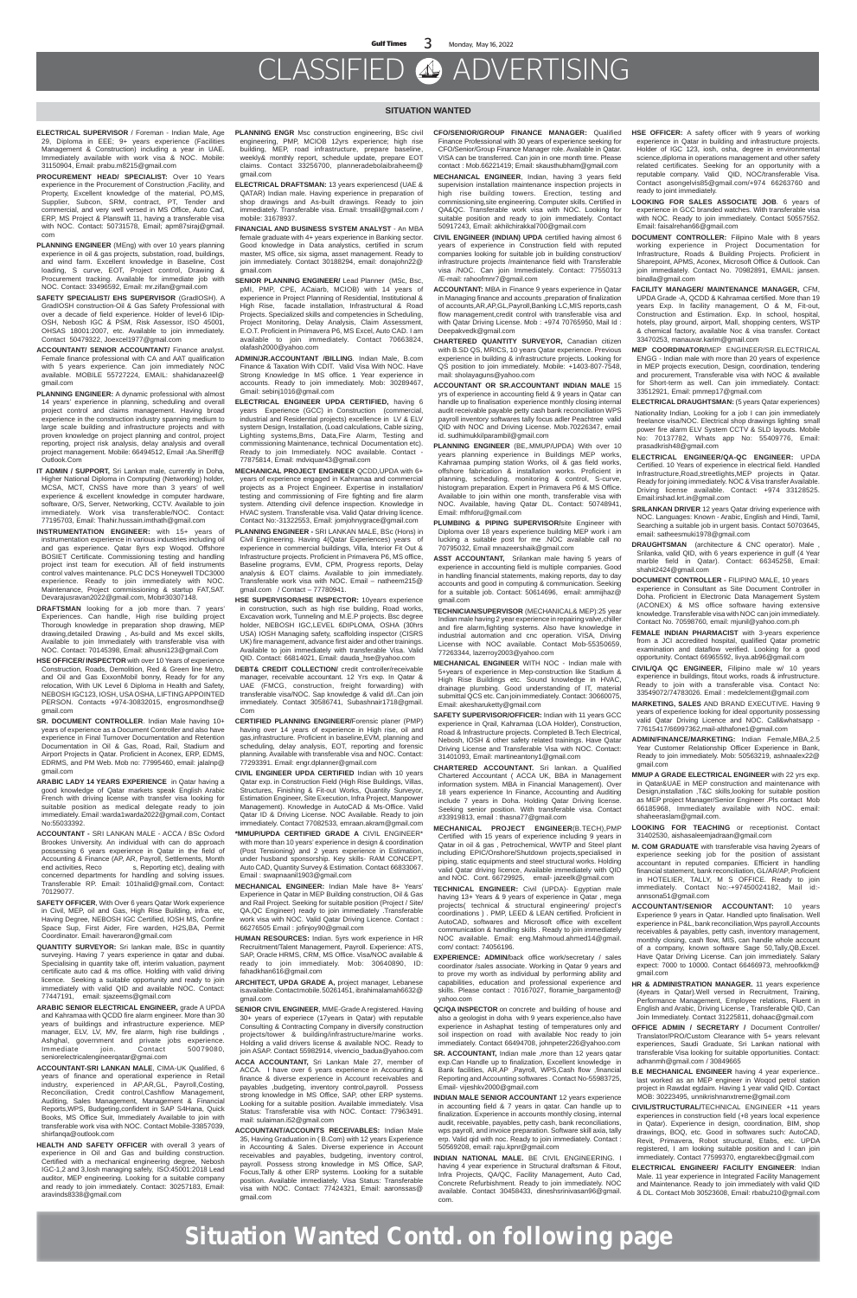### CLASSIFIED ADVERTISING

#### **SITUATION WANTED**

- **ELECTRICAL SUPERVISOR** / Foreman Indian Male, Age 29, Diploma in EEE; 9+ years experience (Facilities Management & Construction) including a year in UAE. Immediately available with work visa & NOC. Mobile: 31150904, Email: prabu.m8215@gmail.com
- **PROCUREMENT HEAD/ SPECIALIST:** Over 10 Years experience in the Procurement of Construction ,Facility, and Property, Excellent knowledge of the material, PO,MS, Supplier, Subcon, SRM, contract, PT, Tender and commercial, and very well versed in MS Office, Auto Cad, ERP, MS Project & Planswift 11, having a transferable visa with NOC. Contact: 50731578, Email; apm87siraj@gmail. com
- **PLANNING ENGINEER** (MEng) with over 10 years planning experience in oil & gas projects, substation, road, buildings, and wind farm. Excellent knowledge in Baseline, Cost loading, S curve, EOT, Project control, Drawing & Procurement tracking. Available for immediate job with NOC. Contact: 33496592, Email: mr.zifan@gmail.com
- **SAFETY SPECIALIST/ EHS SUPERVISOR** (GradIOSH). A GradIOSH construction-Oil & Gas Safety Professional with over a decade of field experience. Holder of level-6 IDip-OSH, Nebosh IGC & PSM, Risk Assessor, ISO 45001, OHSAS 18001:2007, etc. Available to join immediately. Contact 50479322, Joexcel1977@gmail.com
- **ACCOUNTANT/ SENIOR ACCOUNTANT/** Finance analyst. Female finance professional with CA and AAT qualification with 5 years experience. Can join immediately NOC available. MOBILE 55727224, EMAIL: shahidanazeel@ gmail.com
- **PLANNING ENGINEER:** A dynamic professional with almost 14 years' experience in planning, scheduling and overall project control and claims management. Having broad experience in the construction industry spanning medium to large scale building and infrastructure projects and with proven knowledge on project planning and control, project reporting, project risk analysis, delay analysis and overall project management. Mobile: 66494512, Email :Aa.Sheriff@ Outlook.Com
- **IT ADMIN / SUPPORT,** Sri Lankan male, currently in Doha, Higher National Diploma in Computing (Networking) holder, MCSA, MCT, CNSS have more than 3 years of well experience & excellent knowledge in computer hardware, software, O/S, Server, Networking, CCTV. Available to join immediately. Work visa transferable/NOC. Contact: 77195703, Email: Thahir.hussain.imthath@gmail.com
- **INSTRUMENTATION ENGINEER:** with 15+ years of instrumentation experience in various industries including oil and gas experience. Qatar 8yrs exp Woqod. Offshore BOSIET Certificate. Commissioning testing and handling project inst team for execution. All of field instruments control valves maintenance. PLC DCS Honeywell TDC3000 experience. Ready to join immediately with NOC. Maintenance, Project commissioning & startup FAT,SAT. Devarajusravan2022@gmail.com, Mob#30307148.
- **DRAFTSMAN** looking for a job more than. 7 years' Experiences. Can handle, High rise building project Thorough knowledge in preparation shop drawing, MEP drawing,detailed Drawing , As-build and Ms excel skills, Available to join Immediately with transferable visa with NOC. Contact: 70145398, Email: alhusni123@gmail.Com
- **HSE OFFICER/ INSPECTOR** with over 10 Years of experience Construction, Roads, Demolition, Red & Green line Metro, and Oil and Gas ExxonMobil bonny, Ready for for any relocation, With UK Level 6 Diploma in Health and Safety, NEBOSH IGC123, IOSH, USA OSHA, LIFTING APPOINTED PERSON. Contacts +974-30832015, engrosmondhse@ gmail.com
- **SR. DOCUMENT CONTROLLER**. Indian Male having 10+ years of experience as a Document Controller and also have experience in Final Turnover Documentation and Retention Documentation in Oil & Gas, Road, Rail, Stadium and Airport Projects in Qatar. Proficient in Aconex, ERP, EDMS, EDRMS, and PM Web. Mob no: 77995460, email: jalalnp@ gmail.com

- **ARABIC LADY 14 YEARS EXPERIENCE** in Qatar having a good knowledge of Qatar markets speak English Arabic French with driving license with transfer visa looking for suitable position as medical delegate ready to join immediately. Email :warda1warda2022@gmail.com, Contact No:55033392.
- **ACCOUNTANT** SRI LANKAN MALE ACCA / BSc Oxford Brookes University. An individual with can do approach possessing 6 years experience in Qatar in the field of Accounting & Finance (AP, AR, Payroll, Settlements, Month end activities, Reco<br>s, Reporting etc), dealing with s, Reporting etc), dealing with concerned departments for handling and solving issues. Transferable RP. Email: 101halid@gmail.com, Contact: 70129077.
- **SAFETY OFFICER**, With Over 6 years Qatar Work experience in Civil, MEP, oil and Gas, High Rise Building, infra. etc, Having Degree, NEBOSH IGC Certified, IOSH MS, Confine Space Sup, First Aider, Fire warden, H2S,BA, Permit Coordinator. Email: haveraron@gmail.com
- **QUANTITY SURVEYOR:** Sri lankan male, BSc in quantity surveying. Having 7 years experience in qatar and dubai. Specialising in quantity take off, interim valuation, payment certificate auto cad & ms office. Holding with valid driving licence. Seeking a suitable opportunity and ready to join immediately with valid QID and available NOC. Contact: 77447191, email: sjazeems@gmail.com
- **ARABIC SENIOR ELECTRICAL ENGINEER,** grade A UPDA and Kahramaa with QCDD fire alarm engineer. More than 30 years of buildings and infrastructure experience. MEP manager, ELV, LV, MV, fire alarm, high rise buildings , Ashghal, government and private jobs experience.<br>Immediate ioin. Contact 50079080, Immediate join. Contact 50079080, seniorelectricalengineerqatar@gmai.com
- **ACCOUNTANT-SRI LANKAN MALE**, CIMA-UK Qualified, 6 years of finance and operational experience in Retail industry, experienced in AP,AR,GL, Payroll,Costing, Reconciliation, Credit control,Cashflow Management, Auditing, Sales Management, Management & Financial Reports,WPS, Budgeting,confident in SAP S4Hana, Quick Books, MS Office Suit, Immediately Available to join with transferable work visa with NOC. Contact Mobile-33857039, shirfanqa@outlook.com

**HEALTH AND SAFETY OFFICER** with overall 3 years of experience in Oil and Gas and building construction. Certified with a mechanical engineering degree, Nebosh IGC-1,2 and 3,Iosh managing safely, ISO:45001:2018 Lead auditor, MEP engineering. Looking for a suitable company and ready to join immediately. Contact: 30257183, Email: aravinds8338@gmail.com

- **CFO/SENIOR/GROUP FINANCE MANAGER:** Qualified Finance Professional with 30 years of experience seeking for CFO/Senior/Group Finance Manager role. Available in Qatar. VISA can be transferred. Can join in one month time. Please contact : Mob.66221419; Email: skausthubham@gmail.com
- **MECHANICAL ENGINEER**, Indian, having 3 years field supervision installation maintenance inspection projects in high rise building towers. Erection, testing and commissioning,site engineering. Computer skills. Certified in QA&QC. Transferable work visa with NOC. Looking for suitable position and ready to join immediately. Contact 50917243, Email: akhilchirakkal700@gmail.com
- **CIVIL ENGINEER (INDIAN) UPDA** certified having almost 6 years of experience in Construction field with reputed companies looking for suitable job in building construction/ infrastructure projects /maintenance field with Transferable visa /NOC. Can join Immediately. Contact: 77550313 /E-mail: rahoofmnr7@gmail.com
- **ACCOUNTANT:** MBA in Finance 9 years experience in Qatar in Managing finance and accounts ,preparation of finalization of accounts,AR,AP,GL,Payroll,Banking LC,MIS reports,cash flow management,credit control with transferable visa and with Qatar Driving License. Mob : +974 70765950, Mail Id : Deepakvedk@gmail.com
- **CHARTERED QUANTITY SURVEYOR,** Canadian citizen with B.SD QS, MRICS, 10 years Qatar experience. Previous experience in building & infrastructure projects. Looking for QS position to join immediately. Mobile: +1403-807-7548, mail: sholayaguns@yahoo.com
- **ACCOUNTANT OR SR.ACCOUNTANT INDIAN MALE** 15 yrs of experience in accounting field & 9 years in Qatar can handle up to finalisation experience monthly closing internal audit receivable payable petty cash bank reconciliation WPS payroll inventory softwares tally focus adler Peachtree valid QID with NOC and Driving License. Mob.70226347, email id. sudhimukkilparambil@gmail.com
- **PLANNING ENGINEER** (BE,.MMUP/UPDA) With over 10 years planning experience in Buildings MEP works, Kahramaa pumping station Works, oil & gas field works, offshore fabrication & installation works. Proficient in planning, scheduling, monitoring & control, S-curve, histogram preparation. Expert in Primavera P6 & MS Office. Available to join within one month, transferable visa with NOC. Available, having Qatar DL. Contact: 50748941, Email: mfhforu@gmail.com
- **PLUMBING & PIPING SUPERVISOR/**site Engineer with Diploma over 18 years experience building MEP work i am lucking a suitable post for me .NOC available call no 70795032, Email mnazeershaik@gmail.com
- **ASST ACCOUNTANT,** Srilankan male having 5 years of experience in accounting field is multiple companies. Good in handling financial statements, making reports, day to day accounts and good in computing & communication. Seeking for a suitable job. Contact: 50614696, email: ammijhaz@ gmail.com
- **TECHNICIAN/SUPERVISOR** (MECHANICAL& MEP):25 year Indian male having 2 year experience in repairing valve,chiller and fire alarm,fighting systems. Also have knowledge in industrial automation and cnc operation. VISA, Driving License with NOC available. Contact Mob-55350659, 77263344, lazerroy2003@yahoo.com
- **MECHANICAL ENGINEER** WITH NOC Indian male with 5+years of experience in Mep-construction like Stadium & High Rise Buildings etc. Sound knowledge in HVAC, drainage plumbing. Good understanding of IT, material submittal QCS etc. Can join immediately. Contact: 30660075, Email: akesharuketty@gmail.com
- **SAFETY SUPERVISOR/OFFICER:** Indian with 11 years GCC experience in Qrail, Kahramaa (LOA Holder), Construction, Road & Infrastructure projects. Completed B.Tech Electrical, Nebosh, IOSH & other safety related trainings. Have Qatar Driving License and Transferable Visa with NOC. Contact: 31401093, Email: martineantony1@gmail.com
- **CHARTERED ACCOUNTANT.** Sri lankan. a Qualified Chartered Accountant ( ACCA UK, BBA in Management
- **PLANNING ENGR** Msc construction engineering, BSc civil engineering, PMP, MCIOB 12yrs experience; high rise building, MEP, road infrastructure, prepare baseline, weekly& monthly report, schedule update, prepare EOT claims. Contact 33256700, planneradebolaibraheem@ gmail.com
- **ELECTRICAL DRAFTSMAN:** 13 years experiencesd (UAE & QATAR) Indian male. Having experience in preparation of shop drawings and As-built drawings. Ready to join immediately. Transferable visa. Email: tmsalil@gmail.com / mobile: 31678937.
- **FINANCIAL AND BUSINESS SYSTEM ANALYST** An MBA female graduate with 4+ years experience in Banking sector. Good knowledge in Data analystics, certified in scrum master, MS office, six sigma, asset management. Ready to join immediately. Contact 30188294, email: donajohn22@ gmail.com
- **SENIOR PLANNING ENGINEER/** Lead Planner (MSc, Bsc, pMI, PMP, CPE, ACaiarb, MCIOB) with 14 years of experience in Project Planning of Residential, Institutional & High Rise, facade installation, Infrastructural & Road Projects. Specialized skills and competencies in Scheduling, Project Monitoring, Delay Analysis, Claim Assessment, E.O.T. Proficient in Primavera P6, MS Excel, Auto CAD. I am available to join immediately. Contact 70663824, olafash2000@yahoo.com
- **ADMIN/JR.ACCOUNTANT /BILLING**. Indian Male, B.com Finance & Taxation With CDIT. Valid Visa With NOC. Have Strong Knowledge In MS office. 1 Year experience in accounts. Ready to join immediately. Mob: 30289467, Gmail: sebinj1016@gmail.com
- **ELECTRICAL ENGINEER UPDA CERTIFIED,** having 6 years Experience (GCC) in Construction (commercial, industrial and Residential projects) excellence in LV & ELV system Design, Installation, (Load calculations, Cable sizing, Lighting systems,Bms, Data,Fire Alarm, Testing and commissioning Maintenance, technical Documentation etc). Ready to join Immediately. NOC available. Contact - 77875814, Email: mdviquar43@gmail.com
- **MECHANICAL PROJECT ENGINEER** QCDD,UPDA with 6+ years of experience engaged in Kahramaa and commercial projects as a Project Engineer. Expertise in installation/ testing and commissioning of Fire fighting and fire alarm system. Attending civil defence inspection. Knowledge in HVAC system. Transferable visa. Valid Qatar driving licence. Contact No:-31322553, Email: jomjohnygrace@gmail.com
- **PLANNING ENGINEER** SRI LANKAN MALE, BSc (Hons) in Civil Engineering. Having 4(Qatar Experiences) years of experience in commercial buildings, Villa, Interior Fit Out & Infrastructure projects. Proficient in Primavera P6, MS office, Baseline programs, EVM, CPM, Progress reports, Delay analysis & EOT claims. Available to join immediately. Transferable work visa with NOC. Email – natheem215@ gmail.com / Contact – 77780941.
- **HSE SUPERVISOR/HSE INSPECTOR:** 10years experience in construction, such as high rise building, Road works, Excavation work, Tunneling and M.E.P projects. Bsc degree holder, NEBOSH IGC,LEVEL 6DIPLOMA, OSHA (30hrs USA) IOSH Managing safety, scaffolding inspector (CISRS UK) fire management, advance first aider and other trainings. Available to join immediately with transferable Visa. Valid QID. Contact: 66814021, Email: dauda\_hse@yahoo.com
- **DEBT& CREDIT COLLECTION/** credit controller/receivable manager, receivable accountant. 12 Yrs exp. In Qatar & UAE (FMCG, construction, freight forwarding) with transferable visa/NOC. Sap knowledge & valid d/l..Can join immediately. Contact 30586741, Subashnair1718@gmail. Com
- **CERTIFIED PLANNING ENGINEER/**Forensic planer (PMP) having over 14 years of experience in High rise, oil and gas,infrastructure. Proficient in baseline,EVM, planning and scheduling, delay analysis, EOT, reporting and forensic planning. Available with transferable visa and NOC. Contact: 77293391. Email: engr.dplanner@gmail.com
- **CIVIL ENGINEER UPDA CERTIFIED** Indian with 10 years

Qatar exp. in Construction Field (High Rise Buildings, Villas, Structures, Finishing & Fit-out Works, Quantity Surveyor, Estimation Engineer, Site Execution, Infra Project, Manpower Management). Knowledge in AutoCAD & Ms-Office. Valid Qatar ID & Driving License. NOC Available. Ready to join immediately. Contact 77082533, emraan.akram@gmail.com

- **\*MMUP/UPDA CERTIFIED GRADE A** CIVIL ENGINEER\* with more than 10 years' experience in design & coordination (Post Tensioning) and 2 years experience in Estimation, under husband sponsorship. Key skills- RAM CONCEPT, Auto CAD, Quantity Survey & Estimation. Contact 66833067. Email : swapnaanil1903@gmail.com
- **MECHANICAL ENGINEER:** Indian Male have 8+ Years' Experience in Qatar in MEP Building construction, Oil & Gas and Rail Project. Seeking for suitable position (Project / Site/ QA,QC Engineer) ready to join immediately .Transferable work visa with NOC. Valid Qatar Driving Licence. Contact : 66276505 Email : jofinjoy90@gmail.com
- **HUMAN RESOURCES:** Indian. 5yrs work experience in HR Recruitment/Talent Management, Payroll. Experience: ATS, SAP, Oracle HRMS, CRM, MS Office. Visa/NOC available & ready to join immediately. Mob: 30640890, ID: fahadkhan616@gmail.com
- **ARCHITECT, UPDA GRADE A,** project manager, Lebanese is available. Contact mobile. 50261451, ibrahimalamah6632@ gmail.com
- **SENIOR CIVIL ENGINEER**, MME-Grade A registered. Having 30+ years of experiece (17years in Qatar) with reputable Consulting & Contracting Company in diversify construction projects/tower & building/infrastructure/marine works. Holding a valid drivers license & available NOC. Ready to join ASAP. Contact 55982914, vivencio\_badua@yahoo.com
- **ACCA ACCOUNTANT,** Sri Lankan Male 27, member of ACCA. I have over 6 years experience in Accounting & finance & diverse experience in Account receivables and payables ,budgeting, inventory control,payroll. Possess strong knowledge in MS Office, SAP, other ERP systems. Looking for a suitable position. Available immediately. Visa Status: Transferable visa with NOC. Contact: 77963491. mail: sulaiman.i52@gmail.com
- **ACCOUNTANT/ACCOUNTS RECEIVABLES:** Indian Male 35, Having Graduation in ( B.Com) with 12 years Experience in Accounting & Sales. Diverse experience in Account receivables and payables, budgeting, inventory control, payroll. Possess strong knowledge in MS Office, SAP, Focus,Tally & other ERP systems. Looking for a suitable position. Available immediately. Visa Status: Transferable visa with NOC. Contact: 77424321, Email: aaronssas@ gmail.com

information system. MBA in Financial Management). Over 18 years experience In Finance, Accounting and Auditing include 7 years in Doha. Holding Qatar Driving license. Seeking senior position. With transferable visa. Contact #33919813, email : thasna77@gmail.com

- **MECHANICAL PROJECT ENGINEER**(B.TECH),PMP Certified with 15 years of experience including 9 years in Qatar in oil & gas , Petrochemical, WWTP and Steel plant including EPIC/Onshore/Shutdown projects,specialised in piping, static equipments and steel structural works. Holding valid Qatar driving licence, Available immediately with QID and NOC. Cont. 66729925, email- jazeelk@gmail.com
- **TECHNICAL ENGINEER:** Civil (UPDA)- Egyptian male having 13+ Years & 9 years of experience in Qatar, mega projects( technical & structural engineering/ project's coordinations ) . PMP, LEED & LEAN certified. Proficient in AutoCAD, softwares and Microsoft office with excellent communication & handling skills . Ready to join immediately NOC available. Email: eng.Mahmoud.ahmed14@gmail. com/ contact: 74056196.
- **EXPERIENCE: ADMIN/**back office work/secretary / sales coordinator /sales associate. Working in Qatar 9 years and to prove my worth as individual by performing ability and capabilities, education and professional experience and skills. Please contact : 70167027, floramie\_bargamento@ yahoo.com
- **QC/QA INSPECTOR** on concrete and building of house and also a geologist in doha with 9 years experience,also have experience in Ashaphat testing of temperatures only and soil inspection on road with available Noc ready to join immediately. Contact 66494708, johnpeter226@yahoo.com
- **SR. ACCOUNTANT,** Indian male ,more than 12 years qatar exp.Can Handle up to finalization, Excellent knowledge in Bank facilities, AR,AP ,Payroll, WPS,Cash flow ,financial Reporting and Accounting softwares . Contact No-55983725, Email- vijeshkv2000@gmail.com
- **INDIAN MALE SENIOR ACCOUNTANT** 12 years experience in accounting field & 7 years in qatar. Can handle up to finalization. Experience in accounts monthly closing, internal audit, receivable, payables, petty cash, bank reconciliations, wps payroll, and invoice preparation. Software skill axia, tally erp. Valid qid with noc. Ready to join immediately. Contact : 50569208, email: raju.kpnr@gmail.com
- **INDIAN NATIONAL MALE.** BE CIVIL ENGINEERING. I having 4 year experience in Structural draftsman & Fitout, Infra Projects, QA/QC, Facility Management, Auto Cad, Concrete Refurbishment. Ready to join immediately. NOC available. Contact 30458433, dineshsrinivasan96@gmail. com.
- **HSE OFFICER:** A safety officer with 9 years of working experience in Qatar in building and infrastructure projects. Holder of IGC 123, iosh, osha, degree in environmental science,diploma in operations management and other safety related certificates. Seeking for an opportunity with a reputable company. Valid QID, NOC/transferable Visa. Contact asongelvis85@gmail.com/+974 66263760 and ready to joint immediately.
- **LOOKING FOR SALES ASSOCIATE JOB**. 6 years of experience in GCC branded watches. With transferable visa with NOC. Ready to join immediately. Contact 50557552. Email: faisalrehan66@gmail.com
- **DOCUMENT CONTROLLER:** Filipino Male with 8 years working experience in Project Documentation for Infrastructure, Roads & Building Projects. Proficient in Sharepoint, APMS, Aconex, Microsoft Office & Outlook. Can join immediately. Contact No. 70982891, EMAIL: jansen. binalla@gmail.com
- **FACILITY MANAGER/ MAINTENANCE MANAGER,** CFM, UPDA Grade -A, QCDD & Kahramaa certified. More than 19 years Exp. In facility management, O & M, Fit-out, Construction and Estimation. Exp. In school, hospital, hotels, play ground, airport, Mall, shopping centers, WSTP & chemical factory, available Noc & visa transfer. Contact 33470253, manauvar.karim@gmail.com
- **MEP COORDINATOR/**MEP ENGINEER/SR.ELECTRICAL ENGG - Indian male with more than 20 years of experience in MEP projects execution, Design, coordination, tendering and procurement, Transferable visa with NOC & available for Short-term as well. Can join immediately. Contact: 33512921, Email: pmmep17@gmail.com
- **ELECTRICAL DRAUGHTSMAN:** (5 years Qatar experiences)
- Nationality Indian, Looking for a job I can join immediately freelance visa/NOC. Electrical shop drawings lighting small power fire alarm ELV System CCTV & SLD layouts. Mobile No: 70137782, Whats app No: 55409776, Email: prasadkrish48@gmail.com
- **ELECTRICAL ENGINEER/QA-QC ENGINEER:** UPDA Certified. 10 Years of experience in electrical field. Handled Infrastructure,Road,streetlights,MEP projects in Qatar. Ready for joining immediately. NOC & Visa transfer Available. Driving license available. Contact: +974 33128525. Email:irshad.krt.in@gmail.com
- **SRILANKAN DRIVER** 12 years Qatar driving experience with NOC. Languages: Known - Arabic, English and Hindi, Tamil, Searching a suitable job in urgent basis. Contact 50703645, email: satheesmuki1978@gmail.com
- **DRAUGHTSMAN** (architecture & CNC operator). Male , Srilanka, valid QID, with 6 years experience in gulf (4 Year marble field in Qatar). Contact: 66345258, Email: shahit2424@gmail.com
- **DOCUMENT CONTROLLER -** FILIPINO MALE, 10 years experience in Consultant as Site Document Controller in Doha. Proficient in Electronic Data Management System (ACONEX) & MS office software having extensive knowledge. Transferable visa with NOC can join immediately. Contact No. 70598760, email: mjunil@yahoo.com.ph
- **FEMALE INDIAN PHARMACIST** with 3-years experience from a JCI accredited hospital, qualified Qatar prometric examination and dataflow verified. Looking for a good opportunity. Contact 66965592, livya.ab96@gmail.com
- **CIVIL/QA QC ENGINEER,** Filipino male w/ 10 years experience in buildings, fitout works, roads & infrustructure. Ready to join with a transferable visa. Contact No: 33549072/74783026. Email : medelclement@gmail.com
- **MARKETING, SALES** AND BRAND EXECUTIVE. Having 9 years of experience looking for ideal opportunity possessing valid Qatar Driving Licence and NOC. Call&whatsapp - 77615417/66997362,mail-althafone1@gmail.com
- **ADMIN/FINANCE/MARKETING:** Indian Female,MBA,2.5 Year Customer Relationship Officer Experience in Bank, Ready to join immediately. Mob: 50563219, ashnaalex22@ gmail.com
- **MMUP A GRADE ELECTRICAL ENGINEER** with 22 yrs exp.

- in Qatar&UAE in MEP construction and maintenance with Design,installation ,T&C skills,looking for suitable position as MEP project Manager/Senior Engineer .Pls contact Mob 66185968, Immediately available with NOC. email: shaheeraslam@gmail.com.
- **LOOKING FOR TEACHING** or receptionist. Contact 31402530, aishasaleemjadraan@gmail.com
- **M. COM GRADUATE** with transferable visa having 2years of experience seeking job for the position of assistant accountant in reputed companies. Efficient in handling financial statement, bank reconciliation, GL/AR/AP, Proficient in HOTELIER, TALLY, M S OFFICE. Ready to join immediately. Contact No:-+97450024182, Mail id: annsona51@gmail.com
- **ACCOUNTANT/SENIOR ACCOUNTANT:** 10 years Experience 9 years in Qatar. Handled upto finalisation. Well experience in P&L, bank reconciliation,Wps payroll,Accounts receivables & payables, petty cash, inventory management, monthly closing, cash flow, MIS, can handle whole account of a company, known software Sage 50,Tally,QB,Excel. Have Qatar Driving License. Can join immediately. Salary expect: 7000 to 10000. Contact 66466973, mehroofkkm@ gmail.com
- **HR & ADMINISTRATION MANAGER.** 11 years experience (4years in Qatar).Well versed in Recruitment, Training, Performance Management, Employee relations, Fluent in English and Arabic, Driving License , Transferable QID, Can Join Immediately. Contact 31225811, dohaac@gmail.com
- **OFFICE ADMIN / SECRETARY /** Document Controller/ Translator/PRO/Custom Clearance with 5+ years relevant experiences, Saudi Graduate, Sri Lankan national with transferable Visa looking for suitable opportunities. Contact: adhanmh@gmail.com / 30849665
- **B.E MECHANICAL ENGINEER** having 4 year experience.. last worked as an MEP engineer in Woqod petrol station project in Rawdat egdaim. Having 1 year valid QID. Contact MOB: 30223495, unnikrishnanxtreme@gmail.com
- **CIVIL/STRUCTURAL/**TECHNICAL ENGINEER +11 years experiences in construction field (+8 years local experience in Qatar). Experience in design, coordination, BIM, shop drawings, BOQ, etc. Good in softwares such: AutoCAD, Revit, Primavera, Robot structural, Etabs, etc. UPDA registered, I am looking suitable position and I can join immediately. Contact 77599370, engtarekbec@gmail.com
- **ELECTRICAL ENGINEER/ FACILITY ENGINEER**: Indian Male. 11 year experience in Integrated Facility Management and Maintenance. Ready to join immediately with valid QID & DL. Contact Mob 30523608, Email: rbabu210@gmail.com

### **Situation Wanted Contd. on following page**